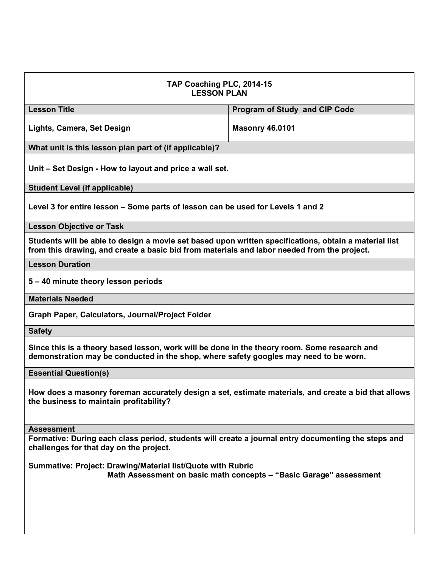| TAP Coaching PLC, 2014-15<br><b>LESSON PLAN</b>                                                                                                                                                      |                                      |  |
|------------------------------------------------------------------------------------------------------------------------------------------------------------------------------------------------------|--------------------------------------|--|
| <b>Lesson Title</b>                                                                                                                                                                                  | <b>Program of Study and CIP Code</b> |  |
| Lights, Camera, Set Design                                                                                                                                                                           | <b>Masonry 46.0101</b>               |  |
| What unit is this lesson plan part of (if applicable)?                                                                                                                                               |                                      |  |
| Unit – Set Design - How to layout and price a wall set.                                                                                                                                              |                                      |  |
| <b>Student Level (if applicable)</b>                                                                                                                                                                 |                                      |  |
| Level 3 for entire lesson – Some parts of lesson can be used for Levels 1 and 2                                                                                                                      |                                      |  |
| <b>Lesson Objective or Task</b>                                                                                                                                                                      |                                      |  |
| Students will be able to design a movie set based upon written specifications, obtain a material list<br>from this drawing, and create a basic bid from materials and labor needed from the project. |                                      |  |
| <b>Lesson Duration</b>                                                                                                                                                                               |                                      |  |
| 5 - 40 minute theory lesson periods                                                                                                                                                                  |                                      |  |
| <b>Materials Needed</b>                                                                                                                                                                              |                                      |  |
| Graph Paper, Calculators, Journal/Project Folder                                                                                                                                                     |                                      |  |
| <b>Safety</b>                                                                                                                                                                                        |                                      |  |
| Since this is a theory based lesson, work will be done in the theory room. Some research and<br>demonstration may be conducted in the shop, where safety googles may need to be worn.                |                                      |  |
| <b>Essential Question(s)</b>                                                                                                                                                                         |                                      |  |
| How does a masonry foreman accurately design a set, estimate materials, and create a bid that allows<br>the business to maintain profitability?                                                      |                                      |  |
| <b>Assessment</b>                                                                                                                                                                                    |                                      |  |
| Formative: During each class period, students will create a journal entry documenting the steps and<br>challenges for that day on the project.                                                       |                                      |  |
| Summative: Project: Drawing/Material list/Quote with Rubric<br>Math Assessment on basic math concepts - "Basic Garage" assessment                                                                    |                                      |  |